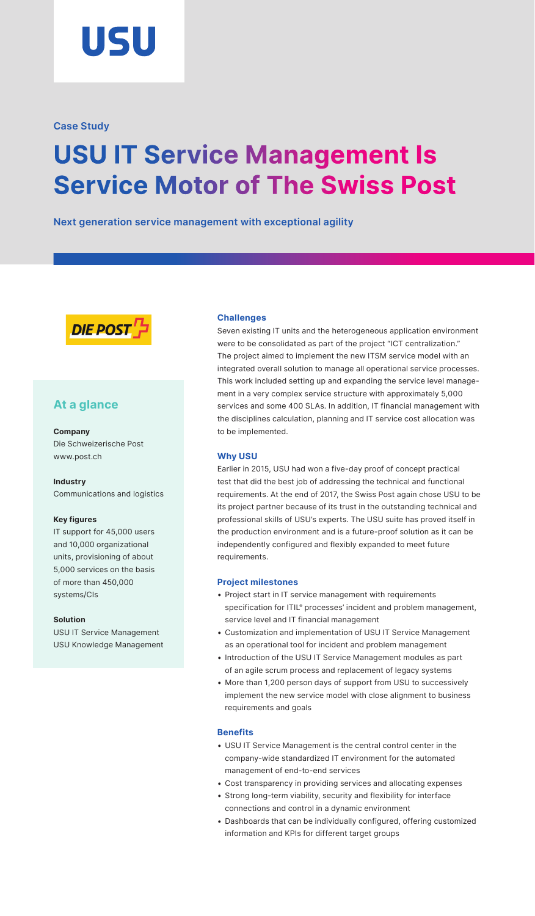

## **Case Study**

# **USU IT Service Management Is Service Motor of The Swiss Post**

**Next generation service management with exceptional agility**



# **At a glance**

#### **Company**

Die Schweizerische Post [www.post.ch](http://www.post.ch)

#### **Industry**

Communications and logistics

#### **Key figures**

IT support for 45,000 users and 10,000 organizational units, provisioning of about 5,000 services on the basis of more than 450,000 systems/CIs

#### **Solution**

USU IT Service Management USU Knowledge Management

#### **Challenges**

Seven existing IT units and the heterogeneous application environment were to be consolidated as part of the project "ICT centralization." The project aimed to implement the new ITSM service model with an integrated overall solution to manage all operational service processes. This work included setting up and expanding the service level management in a very complex service structure with approximately 5,000 services and some 400 SLAs. In addition, IT financial management with the disciplines calculation, planning and IT service cost allocation was to be implemented.

#### **Why USU**

Earlier in 2015, USU had won a five-day proof of concept practical test that did the best job of addressing the technical and functional requirements. At the end of 2017, the Swiss Post again chose USU to be its project partner because of its trust in the outstanding technical and professional skills of USU's experts. The USU suite has proved itself in the production environment and is a future-proof solution as it can be independently configured and flexibly expanded to meet future requirements.

#### **Project milestones**

- Project start in IT service management with requirements specification for ITIL® processes' incident and problem management, service level and IT financial management
- Customization and implementation of USU IT Service Management as an operational tool for incident and problem management
- Introduction of the USU IT Service Management modules as part of an agile scrum process and replacement of legacy systems
- More than 1,200 person days of support from USU to successively implement the new service model with close alignment to business requirements and goals

### **Benefits**

- USU IT Service Management is the central control center in the company-wide standardized IT environment for the automated management of end-to-end services
- Cost transparency in providing services and allocating expenses
- Strong long-term viability, security and flexibility for interface connections and control in a dynamic environment
- Dashboards that can be individually configured, offering customized information and KPIs for different target groups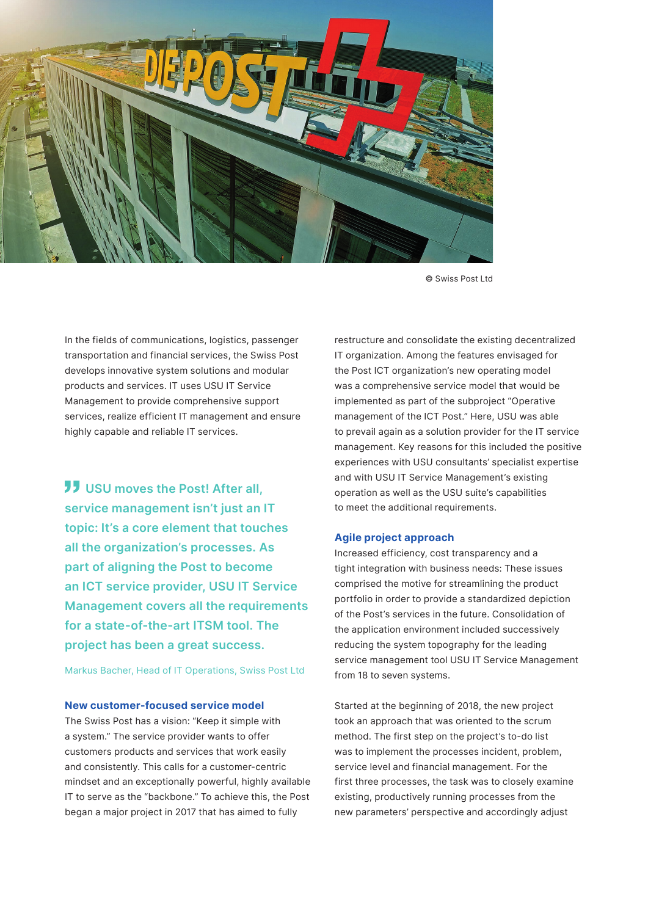

© Swiss Post Ltd

In the fields of communications, logistics, passenger transportation and financial services, the Swiss Post develops innovative system solutions and modular products and services. IT uses USU IT Service Management to provide comprehensive support services, realize efficient IT management and ensure highly capable and reliable IT services.

**JJ USU moves the Post! After all, service management isn't just an IT topic: It's a core element that touches all the organization's processes. As part of aligning the Post to become an ICT service provider, USU IT Service Management covers all the requirements for a state-of-the-art ITSM tool. The project has been a great success.**

Markus Bacher, Head of IT Operations, Swiss Post Ltd

#### **New customer-focused service model**

The Swiss Post has a vision: "Keep it simple with a system." The service provider wants to offer customers products and services that work easily and consistently. This calls for a customer-centric mindset and an exceptionally powerful, highly available IT to serve as the "backbone." To achieve this, the Post began a major project in 2017 that has aimed to fully

restructure and consolidate the existing decentralized IT organization. Among the features envisaged for the Post ICT organization's new operating model was a comprehensive service model that would be implemented as part of the subproject "Operative management of the ICT Post." Here, USU was able to prevail again as a solution provider for the IT service management. Key reasons for this included the positive experiences with USU consultants' specialist expertise and with USU IT Service Management's existing operation as well as the USU suite's capabilities to meet the additional requirements.

#### **Agile project approach**

Increased efficiency, cost transparency and a tight integration with business needs: These issues comprised the motive for streamlining the product portfolio in order to provide a standardized depiction of the Post's services in the future. Consolidation of the application environment included successively reducing the system topography for the leading service management tool USU IT Service Management from 18 to seven systems.

Started at the beginning of 2018, the new project took an approach that was oriented to the scrum method. The first step on the project's to-do list was to implement the processes incident, problem, service level and financial management. For the first three processes, the task was to closely examine existing, productively running processes from the new parameters' perspective and accordingly adjust